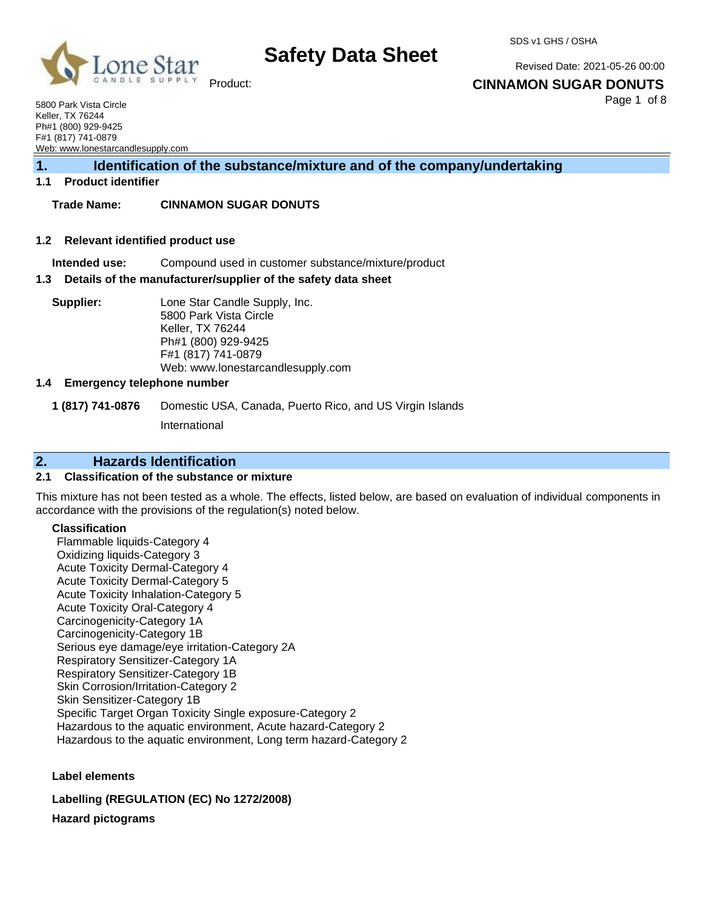

SDS v1 GHS / OSHA

Revised Date: 2021-05-26 00:00

**CINNAMON SUGAR DONUTS**

Page 1 of 8

5800 Park Vista Circle Keller, TX 76244 Ph#1 (800) 929-9425 F#1 (817) 741-0879 Web: [www.lonestarcandlesupply.com](http://www.lonestarcandlesupply.com/)

**1. Identification of the substance/mixture and of the company/undertaking**

## **1.1 Product identifier**

## **Trade Name: CINNAMON SUGAR DONUTS**

### **1.2 Relevant identified product use**

**Intended use:** Compound used in customer substance/mixture/product

### **1.3 Details of the manufacturer/supplier of the safety data sheet**

**Supplier:** Lone Star Candle Supply, Inc. 5800 Park Vista Circle Keller, TX 76244 Ph#1 (800) 929-9425 F#1 (817) 741-0879 Web: [www.lonestarcandlesupply.com](http://www.lonestarcandlesupply.com/)

### **1.4 Emergency telephone number**

**1 (817) 741-0876** Domestic USA, Canada, Puerto Rico, and US Virgin Islands

International

## **2. Hazards Identification**

### **2.1 Classification of the substance or mixture**

This mixture has not been tested as a whole. The effects, listed below, are based on evaluation of individual components in accordance with the provisions of the regulation(s) noted below.

### **Classification**

Flammable liquids-Category 4 Oxidizing liquids-Category 3 Acute Toxicity Dermal-Category 4 Acute Toxicity Dermal-Category 5 Acute Toxicity Inhalation-Category 5 Acute Toxicity Oral-Category 4 Carcinogenicity-Category 1A Carcinogenicity-Category 1B Serious eye damage/eye irritation-Category 2A Respiratory Sensitizer-Category 1A Respiratory Sensitizer-Category 1B Skin Corrosion/Irritation-Category 2 Skin Sensitizer-Category 1B Specific Target Organ Toxicity Single exposure-Category 2 Hazardous to the aquatic environment, Acute hazard-Category 2 Hazardous to the aquatic environment, Long term hazard-Category 2

**Label elements**

**Labelling (REGULATION (EC) No 1272/2008)**

**Hazard pictograms**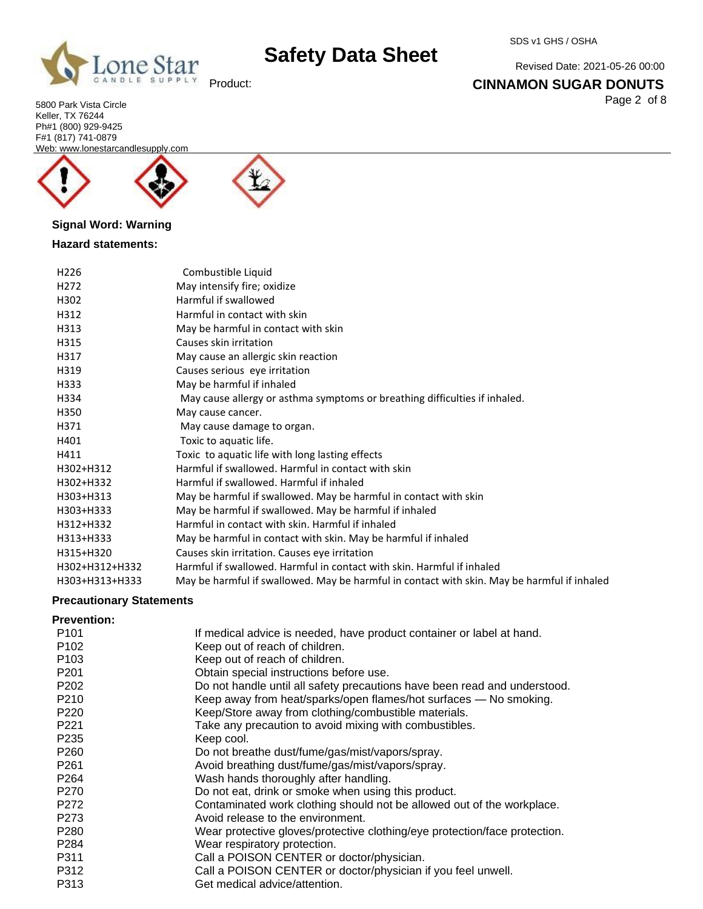

Revised Date: 2021-05-26 00:00

## **CINNAMON SUGAR DONUTS**

Page 2 of 8

5800 Park Vista Circle Keller, TX 76244 Ph#1 (800) 929-9425 F#1 (817) 741-0879 Web: [www.lonestarcandlesupply.com](http://www.lonestarcandlesupply.com/)





## **Signal Word: Warning**

## **Hazard statements:**

| H <sub>226</sub> | Combustible Liquid                                                                          |
|------------------|---------------------------------------------------------------------------------------------|
| H <sub>272</sub> | May intensify fire; oxidize                                                                 |
| H302             | Harmful if swallowed                                                                        |
| H312             | Harmful in contact with skin                                                                |
| H313             | May be harmful in contact with skin                                                         |
| H315             | Causes skin irritation                                                                      |
| H317             | May cause an allergic skin reaction                                                         |
| H319             | Causes serious eye irritation                                                               |
| H333             | May be harmful if inhaled                                                                   |
| H334             | May cause allergy or asthma symptoms or breathing difficulties if inhaled.                  |
| H350             | May cause cancer.                                                                           |
| H371             | May cause damage to organ.                                                                  |
| H401             | Toxic to aquatic life.                                                                      |
| H411             | Toxic to aquatic life with long lasting effects                                             |
| H302+H312        | Harmful if swallowed. Harmful in contact with skin                                          |
| H302+H332        | Harmful if swallowed. Harmful if inhaled                                                    |
| H303+H313        | May be harmful if swallowed. May be harmful in contact with skin                            |
| H303+H333        | May be harmful if swallowed. May be harmful if inhaled                                      |
| H312+H332        | Harmful in contact with skin. Harmful if inhaled                                            |
| H313+H333        | May be harmful in contact with skin. May be harmful if inhaled                              |
| H315+H320        | Causes skin irritation. Causes eye irritation                                               |
| H302+H312+H332   | Harmful if swallowed. Harmful in contact with skin. Harmful if inhaled                      |
| H303+H313+H333   | May be harmful if swallowed. May be harmful in contact with skin. May be harmful if inhaled |
|                  |                                                                                             |

## **Precautionary Statements**

## **Prevention:**

| P <sub>101</sub> | If medical advice is needed, have product container or label at hand.      |
|------------------|----------------------------------------------------------------------------|
| P <sub>102</sub> | Keep out of reach of children.                                             |
| P <sub>103</sub> | Keep out of reach of children.                                             |
| P <sub>201</sub> | Obtain special instructions before use.                                    |
| P <sub>202</sub> | Do not handle until all safety precautions have been read and understood.  |
| P210             | Keep away from heat/sparks/open flames/hot surfaces - No smoking.          |
| P <sub>220</sub> | Keep/Store away from clothing/combustible materials.                       |
| P221             | Take any precaution to avoid mixing with combustibles.                     |
| P <sub>235</sub> | Keep cool.                                                                 |
| P <sub>260</sub> | Do not breathe dust/fume/gas/mist/vapors/spray.                            |
| P <sub>261</sub> | Avoid breathing dust/fume/gas/mist/vapors/spray.                           |
| P <sub>264</sub> | Wash hands thoroughly after handling.                                      |
| P270             | Do not eat, drink or smoke when using this product.                        |
| P272             | Contaminated work clothing should not be allowed out of the workplace.     |
| P <sub>273</sub> | Avoid release to the environment.                                          |
| P <sub>280</sub> | Wear protective gloves/protective clothing/eye protection/face protection. |
| P <sub>284</sub> | Wear respiratory protection.                                               |
| P311             | Call a POISON CENTER or doctor/physician.                                  |
| P312             | Call a POISON CENTER or doctor/physician if you feel unwell.               |
| P313             | Get medical advice/attention.                                              |
|                  |                                                                            |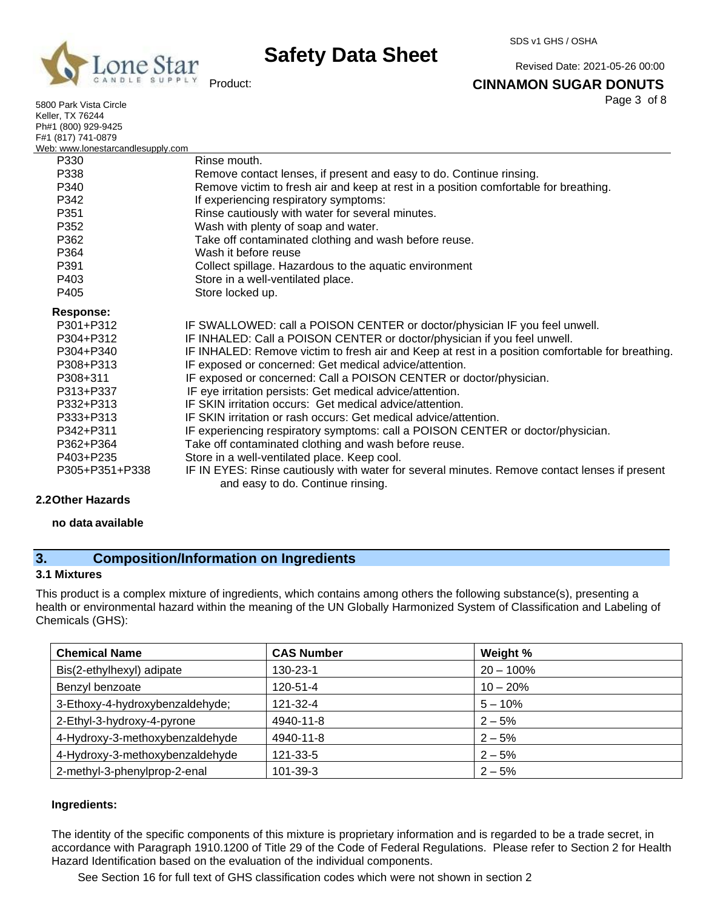

Product:

## SDS v1 GHS / OSHA

Revised Date: 2021-05-26 00:00

### **CINNAMON SUGAR DONUTS**

Page 3 of 8

| 5800 Park Vista Circle            | Page 3 Or 8                                                                                      |
|-----------------------------------|--------------------------------------------------------------------------------------------------|
| <b>Keller, TX 76244</b>           |                                                                                                  |
| Ph#1 (800) 929-9425               |                                                                                                  |
| F#1 (817) 741-0879                |                                                                                                  |
| Web: www.lonestarcandlesupply.com |                                                                                                  |
| P330                              | Rinse mouth.                                                                                     |
| P338                              | Remove contact lenses, if present and easy to do. Continue rinsing.                              |
| P340                              | Remove victim to fresh air and keep at rest in a position comfortable for breathing.             |
| P342                              | If experiencing respiratory symptoms:                                                            |
| P351                              | Rinse cautiously with water for several minutes.                                                 |
| P352                              | Wash with plenty of soap and water.                                                              |
| P362                              | Take off contaminated clothing and wash before reuse.                                            |
| P364                              | Wash it before reuse                                                                             |
| P391                              | Collect spillage. Hazardous to the aquatic environment                                           |
| P403                              | Store in a well-ventilated place.                                                                |
| P405                              | Store locked up.                                                                                 |
| <b>Response:</b>                  |                                                                                                  |
| P301+P312                         | IF SWALLOWED: call a POISON CENTER or doctor/physician IF you feel unwell.                       |
| P304+P312                         | IF INHALED: Call a POISON CENTER or doctor/physician if you feel unwell.                         |
| P304+P340                         | IF INHALED: Remove victim to fresh air and Keep at rest in a position comfortable for breathing. |
| P308+P313                         | IF exposed or concerned: Get medical advice/attention.                                           |
| P308+311                          | IF exposed or concerned: Call a POISON CENTER or doctor/physician.                               |
| P313+P337                         | IF eye irritation persists: Get medical advice/attention.                                        |
| P332+P313                         | IF SKIN irritation occurs: Get medical advice/attention.                                         |
| P333+P313                         | IF SKIN irritation or rash occurs: Get medical advice/attention.                                 |
| P342+P311                         | IF experiencing respiratory symptoms: call a POISON CENTER or doctor/physician.                  |
| P362+P364                         | Take off contaminated clothing and wash before reuse.                                            |
| P403+P235                         | Store in a well-ventilated place. Keep cool.                                                     |
| P305+P351+P338                    | IF IN EYES: Rinse cautiously with water for several minutes. Remove contact lenses if present    |
|                                   | and easy to do. Continue rinsing.                                                                |

### **2.2Other Hazards**

### **no data available**

## **3. Composition/Information on Ingredients**

### **3.1 Mixtures**

This product is a complex mixture of ingredients, which contains among others the following substance(s), presenting a health or environmental hazard within the meaning of the UN Globally Harmonized System of Classification and Labeling of Chemicals (GHS):

| <b>Chemical Name</b>            | <b>CAS Number</b> | Weight %     |
|---------------------------------|-------------------|--------------|
| Bis(2-ethylhexyl) adipate       | 130-23-1          | $20 - 100\%$ |
| Benzyl benzoate                 | 120-51-4          | $10 - 20%$   |
| 3-Ethoxy-4-hydroxybenzaldehyde; | 121-32-4          | $5 - 10%$    |
| 2-Ethyl-3-hydroxy-4-pyrone      | 4940-11-8         | $2 - 5%$     |
| 4-Hydroxy-3-methoxybenzaldehyde | 4940-11-8         | $2 - 5%$     |
| 4-Hydroxy-3-methoxybenzaldehyde | 121-33-5          | $2 - 5%$     |
| 2-methyl-3-phenylprop-2-enal    | 101-39-3          | $2 - 5%$     |

### **Ingredients:**

The identity of the specific components of this mixture is proprietary information and is regarded to be a trade secret, in accordance with Paragraph 1910.1200 of Title 29 of the Code of Federal Regulations. Please refer to Section 2 for Health Hazard Identification based on the evaluation of the individual components.

See Section 16 for full text of GHS classification codes which were not shown in section 2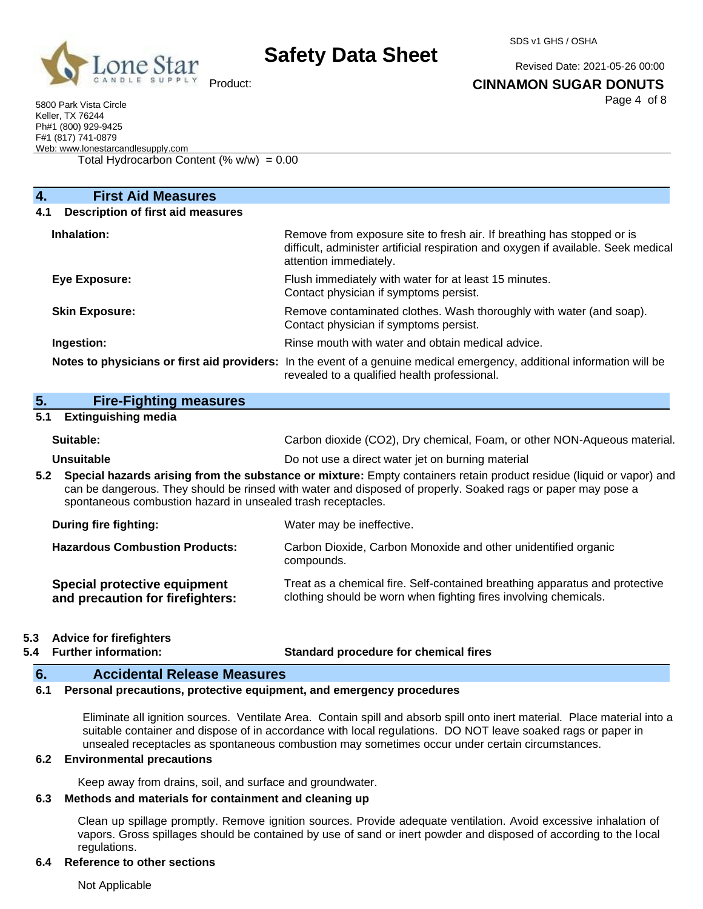

SDS v1 GHS / OSHA

Revised Date: 2021-05-26 00:00

**CINNAMON SUGAR DONUTS**

Page 4 of 8

5800 Park Vista Circle Keller, TX 76244 Ph#1 (800) 929-9425 F#1 (817) 741-0879 Web: [www.lonestarcandlesupply.com](http://www.lonestarcandlesupply.com/)

Total Hydrocarbon Content  $(\% w/w) = 0.00$ 

| <b>First Aid Measures</b><br>4.                 |                                                                                                                                                                                        |
|-------------------------------------------------|----------------------------------------------------------------------------------------------------------------------------------------------------------------------------------------|
| <b>Description of first aid measures</b><br>4.1 |                                                                                                                                                                                        |
| Inhalation:                                     | Remove from exposure site to fresh air. If breathing has stopped or is<br>difficult, administer artificial respiration and oxygen if available. Seek medical<br>attention immediately. |
| Eye Exposure:                                   | Flush immediately with water for at least 15 minutes.<br>Contact physician if symptoms persist.                                                                                        |
| <b>Skin Exposure:</b>                           | Remove contaminated clothes. Wash thoroughly with water (and soap).<br>Contact physician if symptoms persist.                                                                          |
| Ingestion:                                      | Rinse mouth with water and obtain medical advice.                                                                                                                                      |
|                                                 | Notes to physicians or first aid providers: In the event of a genuine medical emergency, additional information will be<br>revealed to a qualified health professional.                |

| 5 <sub>1</sub> | <b>Fire-Fighting measures</b> |  |
|----------------|-------------------------------|--|
|                | _______                       |  |

### **5.1 Extinguishing media**

| Suitable:  | Carbon dioxide (CO2), Dry chemical, Foam, or other NON-Aqueous material. |
|------------|--------------------------------------------------------------------------|
| Unsuitable | Do not use a direct water jet on burning material                        |

**5.2 Special hazards arising from the substance or mixture:** Empty containers retain product residue (liquid or vapor) and can be dangerous. They should be rinsed with water and disposed of properly. Soaked rags or paper may pose a spontaneous combustion hazard in unsealed trash receptacles.

| During fire fighting:                                            | Water may be ineffective.                                                                                                                       |
|------------------------------------------------------------------|-------------------------------------------------------------------------------------------------------------------------------------------------|
| <b>Hazardous Combustion Products:</b>                            | Carbon Dioxide, Carbon Monoxide and other unidentified organic<br>compounds.                                                                    |
| Special protective equipment<br>and precaution for firefighters: | Treat as a chemical fire. Self-contained breathing apparatus and protective<br>clothing should be worn when fighting fires involving chemicals. |

### **5.3 Advice for firefighters**

**5.4 Further information: Standard procedure for chemical fires**

## **6. Accidental Release Measures**

### **6.1 Personal precautions, protective equipment, and emergency procedures**

Eliminate all ignition sources. Ventilate Area. Contain spill and absorb spill onto inert material. Place material into a suitable container and dispose of in accordance with local regulations. DO NOT leave soaked rags or paper in unsealed receptacles as spontaneous combustion may sometimes occur under certain circumstances.

## **6.2 Environmental precautions**

Keep away from drains, soil, and surface and groundwater.

## **6.3 Methods and materials for containment and cleaning up**

Clean up spillage promptly. Remove ignition sources. Provide adequate ventilation. Avoid excessive inhalation of vapors. Gross spillages should be contained by use of sand or inert powder and disposed of according to the local regulations.

## **6.4 Reference to other sections**

Not Applicable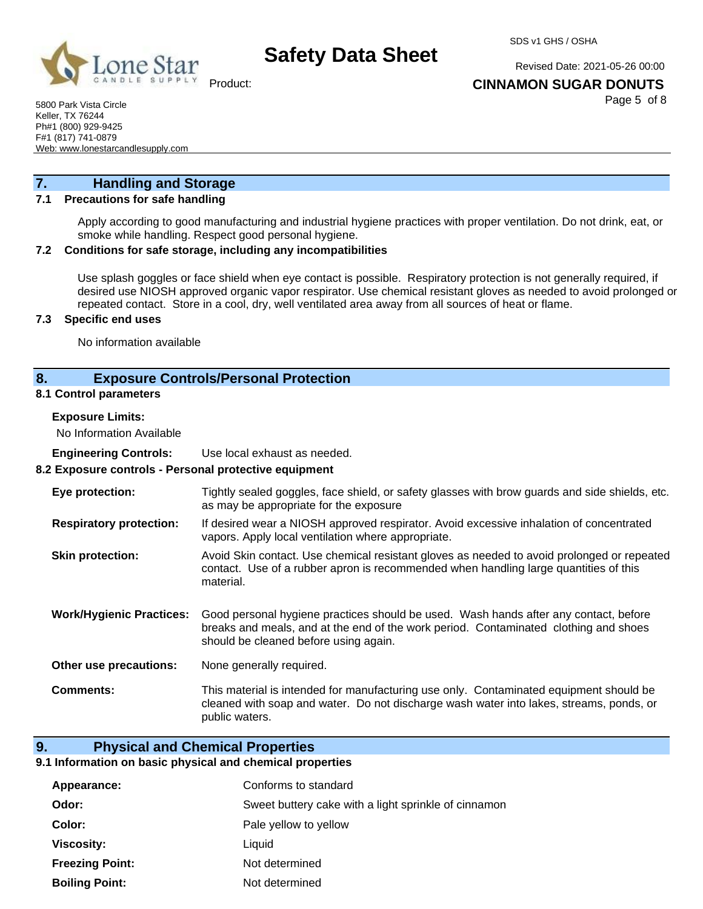

SDS v1 GHS / OSHA

Revised Date: 2021-05-26 00:00

Product:

### **CINNAMON SUGAR DONUTS**

Page 5 of 8

5800 Park Vista Circle Keller, TX 76244 Ph#1 (800) 929-9425 F#1 (817) 741-0879 Web: [www.lonestarcandlesupply.com](http://www.lonestarcandlesupply.com/)

## **7. Handling and Storage**

## **7.1 Precautions for safe handling**

Apply according to good manufacturing and industrial hygiene practices with proper ventilation. Do not drink, eat, or smoke while handling. Respect good personal hygiene.

### **7.2 Conditions for safe storage, including any incompatibilities**

Use splash goggles or face shield when eye contact is possible. Respiratory protection is not generally required, if desired use NIOSH approved organic vapor respirator. Use chemical resistant gloves as needed to avoid prolonged or repeated contact. Store in a cool, dry, well ventilated area away from all sources of heat or flame.

#### **7.3 Specific end uses**

No information available

## **8. Exposure Controls/Personal Protection**

#### **8.1 Control parameters**

**Exposure Limits:**

No Information Available

**Engineering Controls:** Use local exhaust as needed.

### **8.2 Exposure controls - Personal protective equipment**

| Eye protection:                 | Tightly sealed goggles, face shield, or safety glasses with brow guards and side shields, etc.<br>as may be appropriate for the exposure                                                                              |
|---------------------------------|-----------------------------------------------------------------------------------------------------------------------------------------------------------------------------------------------------------------------|
| <b>Respiratory protection:</b>  | If desired wear a NIOSH approved respirator. Avoid excessive inhalation of concentrated<br>vapors. Apply local ventilation where appropriate.                                                                         |
| <b>Skin protection:</b>         | Avoid Skin contact. Use chemical resistant gloves as needed to avoid prolonged or repeated<br>contact. Use of a rubber apron is recommended when handling large quantities of this<br>material.                       |
| <b>Work/Hygienic Practices:</b> | Good personal hygiene practices should be used. Wash hands after any contact, before<br>breaks and meals, and at the end of the work period. Contaminated clothing and shoes<br>should be cleaned before using again. |
| Other use precautions:          | None generally required.                                                                                                                                                                                              |
| Comments:                       | This material is intended for manufacturing use only. Contaminated equipment should be<br>cleaned with soap and water. Do not discharge wash water into lakes, streams, ponds, or<br>public waters.                   |

### **9. Physical and Chemical Properties**

#### **9.1 Information on basic physical and chemical properties**

| Appearance:            | Conforms to standard                                 |
|------------------------|------------------------------------------------------|
| Odor:                  | Sweet buttery cake with a light sprinkle of cinnamon |
| Color:                 | Pale yellow to yellow                                |
| Viscosity:             | Liauid                                               |
| <b>Freezing Point:</b> | Not determined                                       |
| <b>Boiling Point:</b>  | Not determined                                       |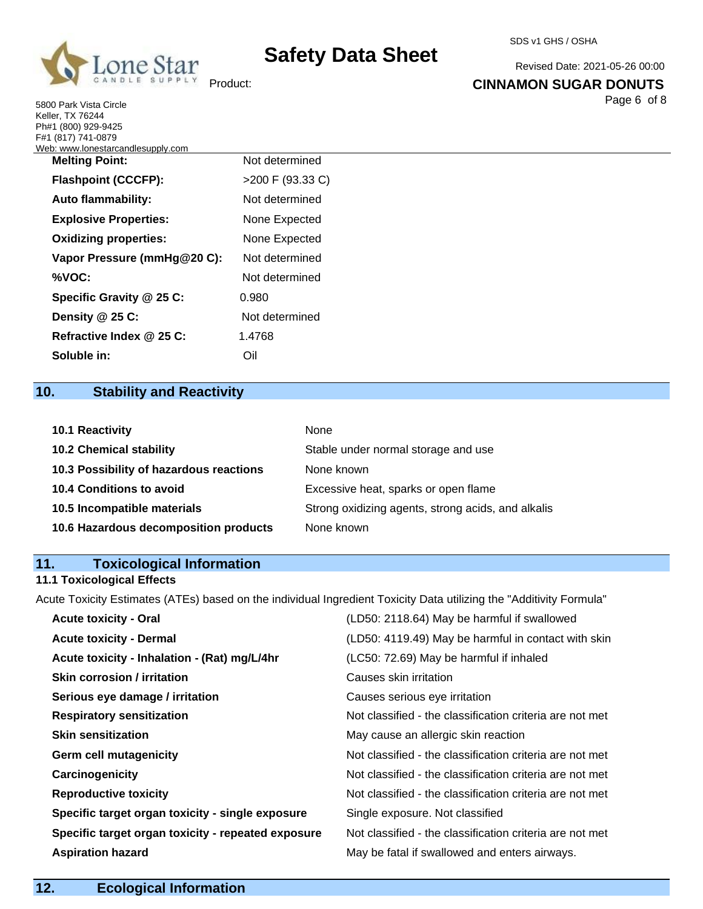

Revised Date: 2021-05-26 00:00

### **CINNAMON SUGAR DONUTS**

Page 6 of 8

5800 Park Vista Circle Keller, TX 76244 Ph#1 (800) 929-9425 F#1 (817) 741-0879

| Not determined   |
|------------------|
| >200 F (93.33 C) |
| Not determined   |
| None Expected    |
| None Expected    |
| Not determined   |
| Not determined   |
| 0.980            |
| Not determined   |
| 1.4768           |
| Oil              |
|                  |

## **10. Stability and Reactivity**

| 10.1 Reactivity                         | None                                               |
|-----------------------------------------|----------------------------------------------------|
| <b>10.2 Chemical stability</b>          | Stable under normal storage and use                |
| 10.3 Possibility of hazardous reactions | None known                                         |
| 10.4 Conditions to avoid                | Excessive heat, sparks or open flame               |
| 10.5 Incompatible materials             | Strong oxidizing agents, strong acids, and alkalis |
| 10.6 Hazardous decomposition products   | None known                                         |

## **11. Toxicological Information**

## **11.1 Toxicological Effects**

Acute Toxicity Estimates (ATEs) based on the individual Ingredient Toxicity Data utilizing the "Additivity Formula"

| <b>Acute toxicity - Oral</b>                       | (LD50: 2118.64) May be harmful if swallowed              |
|----------------------------------------------------|----------------------------------------------------------|
| <b>Acute toxicity - Dermal</b>                     | (LD50: 4119.49) May be harmful in contact with skin      |
| Acute toxicity - Inhalation - (Rat) mg/L/4hr       | (LC50: 72.69) May be harmful if inhaled                  |
| <b>Skin corrosion / irritation</b>                 | Causes skin irritation                                   |
| Serious eye damage / irritation                    | Causes serious eye irritation                            |
| <b>Respiratory sensitization</b>                   | Not classified - the classification criteria are not met |
| <b>Skin sensitization</b>                          | May cause an allergic skin reaction                      |
| <b>Germ cell mutagenicity</b>                      | Not classified - the classification criteria are not met |
| Carcinogenicity                                    | Not classified - the classification criteria are not met |
| <b>Reproductive toxicity</b>                       | Not classified - the classification criteria are not met |
| Specific target organ toxicity - single exposure   | Single exposure. Not classified                          |
| Specific target organ toxicity - repeated exposure | Not classified - the classification criteria are not met |
| <b>Aspiration hazard</b>                           | May be fatal if swallowed and enters airways.            |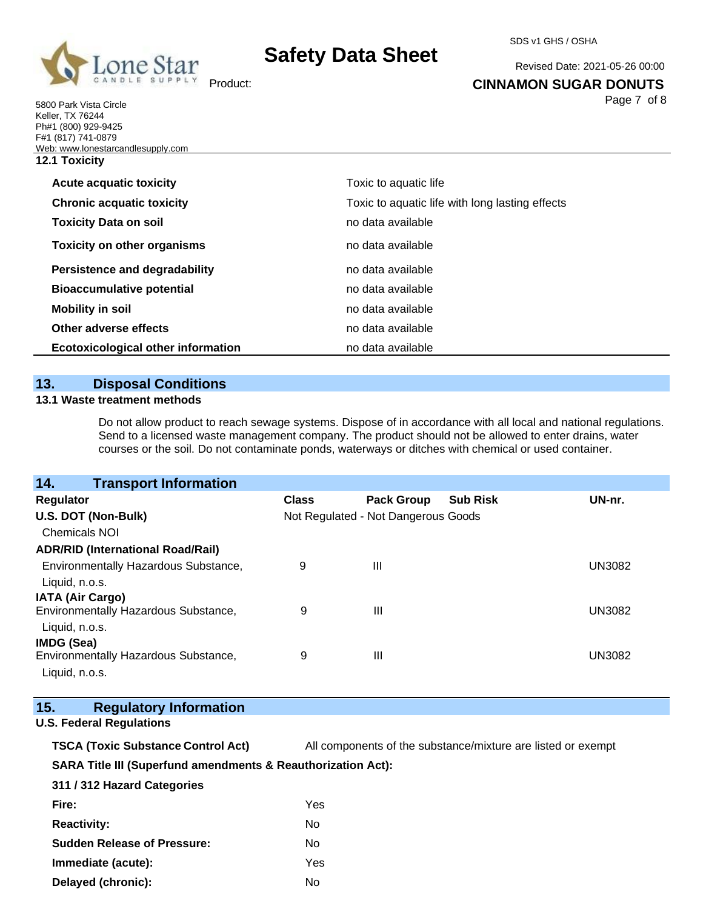

5800 Park Vista Circle Keller, TX 76244 Ph#1 (800) 929-9425

# **Safety Data Sheet**

SDS v1 GHS / OSHA

Revised Date: 2021-05-26 00:00

**CINNAMON SUGAR DONUTS**

Page 7 of 8

| <b>12.1 Toxicity</b><br><b>Acute acquatic toxicity</b><br>Toxic to aquatic life<br><b>Chronic acquatic toxicity</b><br>Toxic to aquatic life with long lasting effects<br>no data available<br><b>Toxicity Data on soil</b><br><b>Toxicity on other organisms</b><br>no data available<br><b>Persistence and degradability</b><br>no data available<br><b>Bioaccumulative potential</b><br>no data available<br><b>Mobility in soil</b><br>no data available<br>Other adverse effects<br>no data available<br>no data available | F#1 (817) 741-0879                        |  |
|---------------------------------------------------------------------------------------------------------------------------------------------------------------------------------------------------------------------------------------------------------------------------------------------------------------------------------------------------------------------------------------------------------------------------------------------------------------------------------------------------------------------------------|-------------------------------------------|--|
|                                                                                                                                                                                                                                                                                                                                                                                                                                                                                                                                 | Web: www.lonestarcandlesupply.com         |  |
|                                                                                                                                                                                                                                                                                                                                                                                                                                                                                                                                 |                                           |  |
|                                                                                                                                                                                                                                                                                                                                                                                                                                                                                                                                 |                                           |  |
|                                                                                                                                                                                                                                                                                                                                                                                                                                                                                                                                 |                                           |  |
|                                                                                                                                                                                                                                                                                                                                                                                                                                                                                                                                 |                                           |  |
|                                                                                                                                                                                                                                                                                                                                                                                                                                                                                                                                 |                                           |  |
|                                                                                                                                                                                                                                                                                                                                                                                                                                                                                                                                 |                                           |  |
|                                                                                                                                                                                                                                                                                                                                                                                                                                                                                                                                 |                                           |  |
|                                                                                                                                                                                                                                                                                                                                                                                                                                                                                                                                 |                                           |  |
|                                                                                                                                                                                                                                                                                                                                                                                                                                                                                                                                 |                                           |  |
|                                                                                                                                                                                                                                                                                                                                                                                                                                                                                                                                 | <b>Ecotoxicological other information</b> |  |

## **13. Disposal Conditions**

### **13.1 Waste treatment methods**

Do not allow product to reach sewage systems. Dispose of in accordance with all local and national regulations. Send to a licensed waste management company. The product should not be allowed to enter drains, water courses or the soil. Do not contaminate ponds, waterways or ditches with chemical or used container.

| <b>Transport Information</b><br>14.      |              |                                     |                 |               |
|------------------------------------------|--------------|-------------------------------------|-----------------|---------------|
| Regulator                                | <b>Class</b> | <b>Pack Group</b>                   | <b>Sub Risk</b> | UN-nr.        |
| U.S. DOT (Non-Bulk)                      |              | Not Regulated - Not Dangerous Goods |                 |               |
| <b>Chemicals NOI</b>                     |              |                                     |                 |               |
| <b>ADR/RID (International Road/Rail)</b> |              |                                     |                 |               |
| Environmentally Hazardous Substance,     | 9            | Ш                                   |                 | <b>UN3082</b> |
| Liquid, n.o.s.                           |              |                                     |                 |               |
| <b>IATA (Air Cargo)</b>                  |              |                                     |                 |               |
| Environmentally Hazardous Substance,     | 9            | Ш                                   |                 | <b>UN3082</b> |
| Liquid, n.o.s.                           |              |                                     |                 |               |
| IMDG (Sea)                               |              |                                     |                 |               |
| Environmentally Hazardous Substance,     | 9            | Ш                                   |                 | <b>UN3082</b> |
| Liquid, n.o.s.                           |              |                                     |                 |               |

| 15. | <b>Regulatory Information</b> |
|-----|-------------------------------|
|     |                               |

### **U.S. Federal Regulations**

| <b>TSCA (Toxic Substance Control Act)</b> | All components of the substance/mixture are listed or exempt |
|-------------------------------------------|--------------------------------------------------------------|
|-------------------------------------------|--------------------------------------------------------------|

### **SARA Title III (Superfund amendments & Reauthorization Act):**

| 311 / 312 Hazard Categories        |     |
|------------------------------------|-----|
| Fire:                              | Yes |
| <b>Reactivity:</b>                 | N٥  |
| <b>Sudden Release of Pressure:</b> | N٥  |
| Immediate (acute):                 | Yes |
| Delayed (chronic):                 | N٥  |